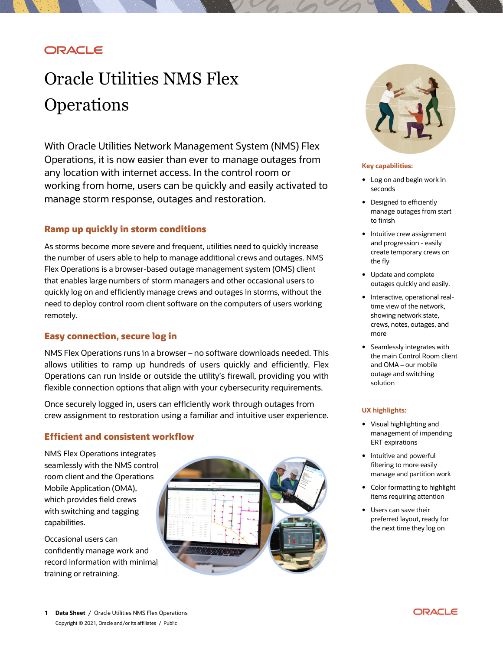## ORACLE

# Oracle Utilities NMS Flex **Operations**

 With Oracle Utilities Network Management System (NMS) Flex Operations, it is now easier than ever to manage outages from any location with internet access. In the control room or working from home, users can be quickly and easily activated to manage storm response, outages and restoration.

## **Ramp up quickly in storm conditions**

 As storms become more severe and frequent, utilities need to quickly increase the number of users able to help to manage additional crews and outages. NMS Flex Operations is a browser-based outage management system (OMS) client that enables large numbers of storm managers and other occasional users to quickly log on and efficiently manage crews and outages in storms, without the need to deploy control room client software on the computers of users working remotely.

## **Easy connection, secure log in**

 NMS Flex Operations runs in a browser – no software downloads needed. This allows utilities to ramp up hundreds of users quickly and efficiently. Flex Operations can run inside or outside the utility's firewall, providing you with flexible connection options that align with your cybersecurity requirements.

 Once securely logged in, users can efficiently work through outages from crew assignment to restoration using a familiar and intuitive user experience.

## **Efficient and consistent workflow**

 NMS Flex Operations integrates the NMS control seamlessly with the NMS control<br>room client and the Operations Mobile Application (OMA), which provides field crews with switching and tagging capabilities.

 Occasional users can confidently manage work and record information with minimal<br>training or retraining. training or retraining.





#### **Key capabilities:**

- • Log on and begin work in seconds
- • Designed to efficiently manage outages from start to finish
- • Intuitive crew assignment and progression - easily create temporary crews on the fly
- • Update and complete outages quickly and easily.
- time view of the network, showing network state, crews, notes, outages, and • Interactive, operational realmore
- • Seamlessly integrates with the main Control Room client and OMA – our mobile outage and switching solution

#### **UX highlights:**

- • Visual highlighting and management of impending ERT expirations
- • Intuitive and powerful filtering to more easily manage and partition work
- • Color formatting to highlight items requiring attention
- • Users can save their preferred layout, ready for the next time they log on